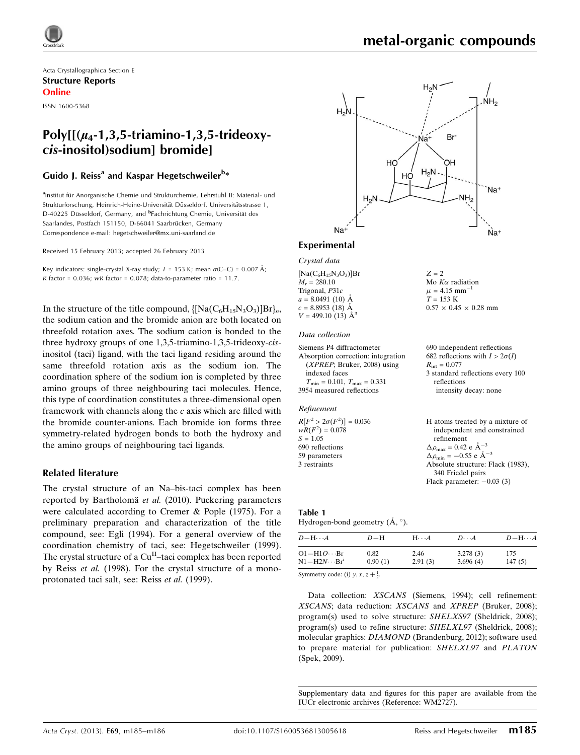

Acta Crystallographica Section E Structure Reports Online

ISSN 1600-5368

# Poly $[(\mu_4-1,3,5-4\mu_1)]$ cis-inositol)sodium] bromide]

# Guido J. Reiss<sup>a</sup> and Kaspar Hegetschweiler<sup>b</sup>\*

<sup>a</sup>Institut für Anorganische Chemie und Strukturchemie, Lehrstuhl II: Material- und Strukturforschung, Heinrich-Heine-Universität Düsseldorf, Universitätsstrasse 1, D-40225 Düsseldorf, Germany, and <sup>b</sup>Fachrichtung Chemie, Universität des Saarlandes, Postfach 151150, D-66041 Saarbrücken, Germany Correspondence e-mail: [hegetschweiler@mx.uni-saarland.de](https://scripts.iucr.org/cgi-bin/cr.cgi?rm=pdfbb&cnor=wm2727&bbid=BB12)

Received 15 February 2013; accepted 26 February 2013

Key indicators: single-crystal X-ray study;  $T = 153$  K; mean  $\sigma$ (C–C) = 0.007 Å; R factor =  $0.036$ ; wR factor =  $0.078$ ; data-to-parameter ratio =  $11.7$ .

In the structure of the title compound,  $\{[Na(C_6H_{15}N_3O_3)]Br\}_n$ , the sodium cation and the bromide anion are both located on threefold rotation axes. The sodium cation is bonded to the three hydroxy groups of one 1,3,5-triamino-1,3,5-trideoxy-cisinositol (taci) ligand, with the taci ligand residing around the same threefold rotation axis as the sodium ion. The coordination sphere of the sodium ion is completed by three amino groups of three neighbouring taci molecules. Hence, this type of coordination constitutes a three-dimensional open framework with channels along the  $c$  axis which are filled with the bromide counter-anions. Each bromide ion forms three symmetry-related hydrogen bonds to both the hydroxy and the amino groups of neighbouring taci ligands.

# Related literature

The crystal structure of an Na–bis-taci complex has been reported by Bartholomä et al. (2010). Puckering parameters were calculated according to Cremer & Pople (1975). For a preliminary preparation and characterization of the title compound, see: Egli (1994). For a general overview of the coordination chemistry of taci, see: Hegetschweiler (1999). The crystal structure of a  $Cu<sup>H</sup>$ -taci complex has been reported by Reiss et al. (1998). For the crystal structure of a monoprotonated taci salt, see: Reiss et al. (1999).



 $Z = 2$ 

 $T = 153 \text{ K}$ 

Mo  $K\alpha$  radiation  $\mu$  = 4.15 mm<sup>-</sup>

intensity decay: none

1

 $0.57 \times 0.45 \times 0.28$  mm

# Experimental

Crystal data

 $[Na(C_6H_{15}N_3O_3)]Br$  $M_r = 280.10$ Trigonal, P31c  $a = 8.0491$  (10) Å  $c = 8.8953(18)$  Å  $V = 499.10(13)$   $\AA^3$ 

#### Data collection

| Siemens P4 diffractometer                        | 690 independent reflections           |
|--------------------------------------------------|---------------------------------------|
| Absorption correction: integration               | 682 reflections with $I > 2\sigma(I)$ |
| $(XPREF; Bruker, 2008)$ using                    | $R_{\rm int} = 0.077$                 |
| indexed faces                                    | 3 standard reflections every 100      |
| $T_{\text{min}} = 0.101, T_{\text{max}} = 0.331$ | reflections                           |
| 3954 measured reflections                        | intensity decay: none                 |

#### Refinement

| $R[F^2 > 2\sigma(F^2)] = 0.036$<br>$wR(F^2) = 0.078$ | H atoms treated by a mixture of                      |
|------------------------------------------------------|------------------------------------------------------|
|                                                      | independent and constrained                          |
| $S = 1.05$                                           | refinement                                           |
| 690 reflections                                      | $\Delta \rho_{\text{max}} = 0.42 \text{ e A}^{-3}$   |
| 59 parameters                                        | $\Delta \rho_{\text{min}} = -0.55$ e $\rm{\AA}^{-3}$ |
| 3 restraints                                         | Absolute structure: Flack (1983),                    |
|                                                      | 340 Friedel pairs                                    |
|                                                      | Flack parameter: $-0.03$ (3)                         |
|                                                      |                                                      |

#### Table 1 Hydrogen-bond geometry  $(\mathring{A}, \degree)$ .

| $D - H \cdots A$       | $D-H$   | $H\cdots A$ | $D\cdots A$ | $D - H \cdots A$ |
|------------------------|---------|-------------|-------------|------------------|
| $O1 - H1O \cdots Br$   | 0.82    | 2.46        | 3.278(3)    | 175              |
| $N1 - H2N \cdots Br^1$ | 0.90(1) | 2.91(3)     | 3.696(4)    | 147(5)           |

Symmetry code: (i)  $y, x, z + \frac{1}{2}$ .

Data collection: XSCANS (Siemens, 1994); cell refinement: XSCANS; data reduction: XSCANS and XPREP (Bruker, 2008); program(s) used to solve structure: SHELXS97 (Sheldrick, 2008); program(s) used to refine structure: SHELXL97 (Sheldrick, 2008); molecular graphics: DIAMOND (Brandenburg, 2012); software used to prepare material for publication: SHELXL97 and PLATON (Spek, 2009).

Supplementary data and figures for this paper are available from the IUCr electronic archives (Reference: WM2727).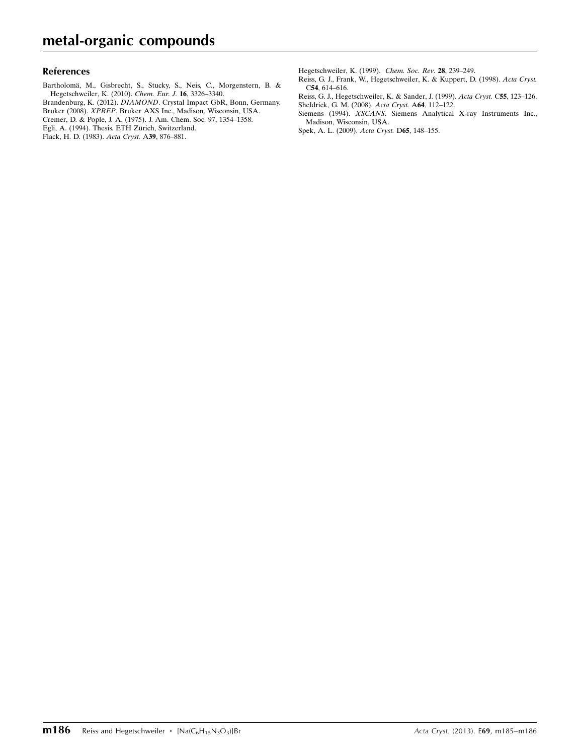# References

Bartholomä, M., Gisbrecht, S., Stucky, S., Neis, C., Morgenstern, B. & [Hegetschweiler, K. \(2010\).](https://scripts.iucr.org/cgi-bin/cr.cgi?rm=pdfbb&cnor=wm2727&bbid=BB1) Chem. Eur. J. 16, 3326–3340. Brandenburg, K. (2012). DIAMOND[. Crystal Impact GbR, Bonn, Germany.](https://scripts.iucr.org/cgi-bin/cr.cgi?rm=pdfbb&cnor=wm2727&bbid=BB2) Bruker (2008). XPREP[. Bruker AXS Inc., Madison, Wisconsin, USA.](https://scripts.iucr.org/cgi-bin/cr.cgi?rm=pdfbb&cnor=wm2727&bbid=BB3) [Cremer, D. & Pople, J. A. \(1975\). J. Am. Chem. Soc. 97, 1354–1358.](https://scripts.iucr.org/cgi-bin/cr.cgi?rm=pdfbb&cnor=wm2727&bbid=BB4) Egli, A. (1994). Thesis. ETH Zürich, Switzerland.

[Flack, H. D. \(1983\).](https://scripts.iucr.org/cgi-bin/cr.cgi?rm=pdfbb&cnor=wm2727&bbid=BB6) Acta Cryst. A39, 876–881.

[Hegetschweiler, K. \(1999\).](https://scripts.iucr.org/cgi-bin/cr.cgi?rm=pdfbb&cnor=wm2727&bbid=BB7) Chem. Soc. Rev. 28, 239–249.

[Reiss, G. J., Frank, W., Hegetschweiler, K. & Kuppert, D. \(1998\).](https://scripts.iucr.org/cgi-bin/cr.cgi?rm=pdfbb&cnor=wm2727&bbid=BB8) Acta Cryst. C54[, 614–616.](https://scripts.iucr.org/cgi-bin/cr.cgi?rm=pdfbb&cnor=wm2727&bbid=BB8)

[Reiss, G. J., Hegetschweiler, K. & Sander, J. \(1999\).](https://scripts.iucr.org/cgi-bin/cr.cgi?rm=pdfbb&cnor=wm2727&bbid=BB9) Acta Cryst. C55, 123–126. [Sheldrick, G. M. \(2008\).](https://scripts.iucr.org/cgi-bin/cr.cgi?rm=pdfbb&cnor=wm2727&bbid=BB10) Acta Cryst. A64, 112–122.

Siemens (1994). XSCANS[. Siemens Analytical X-ray Instruments Inc.,](https://scripts.iucr.org/cgi-bin/cr.cgi?rm=pdfbb&cnor=wm2727&bbid=BB11) [Madison, Wisconsin, USA.](https://scripts.iucr.org/cgi-bin/cr.cgi?rm=pdfbb&cnor=wm2727&bbid=BB11)

[Spek, A. L. \(2009\).](https://scripts.iucr.org/cgi-bin/cr.cgi?rm=pdfbb&cnor=wm2727&bbid=BB12) Acta Cryst. D65, 148–155.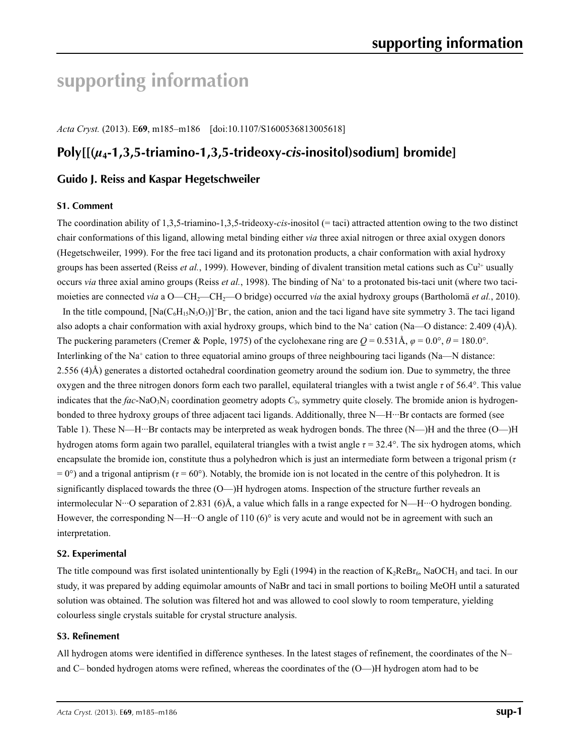# **supporting information**

*Acta Cryst.* (2013). E**69**, m185–m186 [doi:10.1107/S1600536813005618]

# **Poly[[(***µ***4-1,3,5-triamino-1,3,5-trideoxy-***cis***-inositol)sodium] bromide]**

# **Guido J. Reiss and Kaspar Hegetschweiler**

# **S1. Comment**

The coordination ability of 1,3,5-triamino-1,3,5-trideoxy-*cis*-inositol (= taci) attracted attention owing to the two distinct chair conformations of this ligand, allowing metal binding either *via* three axial nitrogen or three axial oxygen donors (Hegetschweiler, 1999). For the free taci ligand and its protonation products, a chair conformation with axial hydroxy groups has been asserted (Reiss *et al.*, 1999). However, binding of divalent transition metal cations such as  $Cu^{2+}$  usually occurs *via* three axial amino groups (Reiss *et al.*, 1998). The binding of Na<sup>+</sup> to a protonated bis-taci unit (where two tacimoieties are connected *via* a O—CH<sub>2</sub>—CH<sub>2</sub>—O bridge) occurred *via* the axial hydroxy groups (Bartholomä *et al.*, 2010). In the title compound,  $[Na(C_6H_1S_3O_3)]$ <sup>+</sup>Br, the cation, anion and the taci ligand have site symmetry 3. The taci ligand also adopts a chair conformation with axial hydroxy groups, which bind to the Na<sup>+</sup> cation (Na—O distance: 2.409 (4)Å). The puckering parameters (Cremer & Pople, 1975) of the cyclohexane ring are  $Q = 0.531$ Å,  $\varphi = 0.0^{\circ}$ ,  $\theta = 180.0^{\circ}$ .

Interlinking of the Na<sup>+</sup> cation to three equatorial amino groups of three neighbouring taci ligands (Na—N distance: 2.556 (4)Å) generates a distorted octahedral coordination geometry around the sodium ion. Due to symmetry, the three oxygen and the three nitrogen donors form each two parallel, equilateral triangles with a twist angle *τ* of 56.4°. This value indicates that the  $fac\text{-}NaO_3N_3$  coordination geometry adopts  $C_{3v}$  symmetry quite closely. The bromide anion is hydrogenbonded to three hydroxy groups of three adjacent taci ligands. Additionally, three N—H···Br contacts are formed (see Table 1). These N—H···Br contacts may be interpreted as weak hydrogen bonds. The three (N—)H and the three (O—)H hydrogen atoms form again two parallel, equilateral triangles with a twist angle *τ* = 32.4°. The six hydrogen atoms, which encapsulate the bromide ion, constitute thus a polyhedron which is just an intermediate form between a trigonal prism (*τ*  $= 0^{\circ}$ ) and a trigonal antiprism ( $\tau = 60^{\circ}$ ). Notably, the bromide ion is not located in the centre of this polyhedron. It is significantly displaced towards the three (O—)H hydrogen atoms. Inspection of the structure further reveals an intermolecular N···O separation of 2.831 (6)Å, a value which falls in a range expected for N—H···O hydrogen bonding. However, the corresponding N—H···O angle of 110 (6)° is very acute and would not be in agreement with such an interpretation.

# **S2. Experimental**

The title compound was first isolated unintentionally by Egli (1994) in the reaction of  $K_2ReBr_6$ , NaOCH<sub>3</sub> and taci. In our study, it was prepared by adding equimolar amounts of NaBr and taci in small portions to boiling MeOH until a saturated solution was obtained. The solution was filtered hot and was allowed to cool slowly to room temperature, yielding colourless single crystals suitable for crystal structure analysis.

# **S3. Refinement**

All hydrogen atoms were identified in difference syntheses. In the latest stages of refinement, the coordinates of the N– and C– bonded hydrogen atoms were refined, whereas the coordinates of the (O—)H hydrogen atom had to be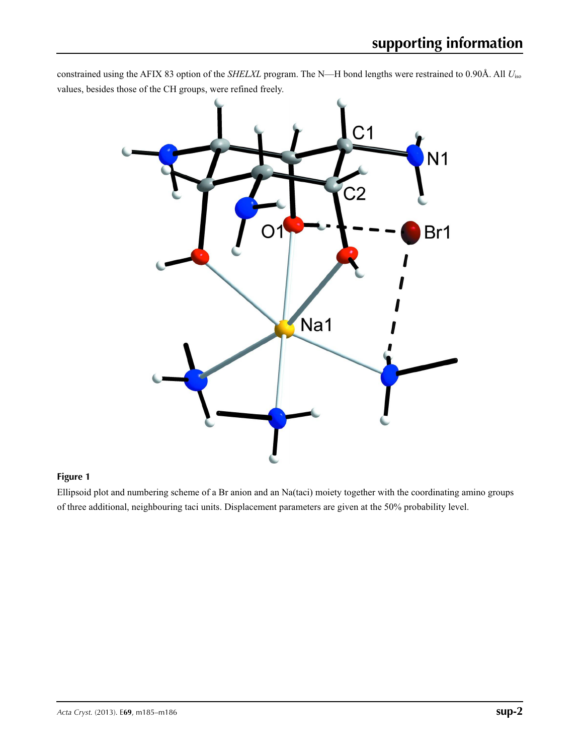constrained using the AFIX 83 option of the *SHELXL* program. The N—H bond lengths were restrained to 0.90Å. All *U*iso values, besides those of the CH groups, were refined freely.



# **Figure 1**

Ellipsoid plot and numbering scheme of a Br anion and an Na(taci) moiety together with the coordinating amino groups of three additional, neighbouring taci units. Displacement parameters are given at the 50% probability level.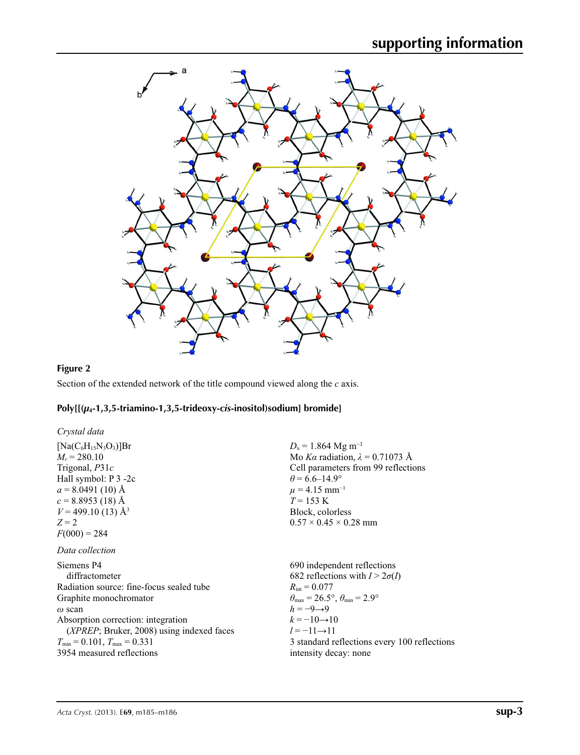

# **Figure 2**

Section of the extended network of the title compound viewed along the *c* axis.

# **Poly[[(***µ***4-1,3,5-triamino-1,3,5-trideoxy-***cis***-inositol)sodium] bromide]**

| Crystal data                                       |                                                                            |
|----------------------------------------------------|----------------------------------------------------------------------------|
| $[Na(C6H15N3O3)]Br$                                | $D_x = 1.864$ Mg m <sup>-3</sup>                                           |
| $M_r = 280.10$                                     | Mo Ka radiation, $\lambda = 0.71073$ Å                                     |
| Trigonal, $P31c$                                   | Cell parameters from 99 reflections                                        |
| Hall symbol: P 3 -2c                               | $\theta$ = 6.6–14.9°                                                       |
| $a = 8.0491(10)$ Å                                 | $\mu$ = 4.15 mm <sup>-1</sup>                                              |
| $c = 8.8953(18)$ Å                                 | $T = 153 \text{ K}$                                                        |
| $V = 499.10(13)$ Å <sup>3</sup>                    | Block, colorless                                                           |
| $Z=2$                                              | $0.57 \times 0.45 \times 0.28$ mm                                          |
| $F(000) = 284$                                     |                                                                            |
| Data collection                                    |                                                                            |
| Siemens P4                                         | 690 independent reflections                                                |
| diffractometer                                     | 682 reflections with $I > 2\sigma(I)$                                      |
| Radiation source: fine-focus sealed tube           | $R_{\rm int} = 0.077$                                                      |
| Graphite monochromator                             | $\theta_{\text{max}} = 26.5^{\circ}$ , $\theta_{\text{min}} = 2.9^{\circ}$ |
| $\omega$ scan                                      | $h = -9 \rightarrow 9$                                                     |
| Absorption correction: integration                 | $k = -10 \rightarrow 10$                                                   |
| ( <i>XPREP</i> ; Bruker, 2008) using indexed faces | $l = -11 \rightarrow 11$                                                   |
| $T_{\min}$ = 0.101, $T_{\max}$ = 0.331             | 3 standard reflections every 100 reflections                               |
| 3954 measured reflections                          | intensity decay: none                                                      |
|                                                    |                                                                            |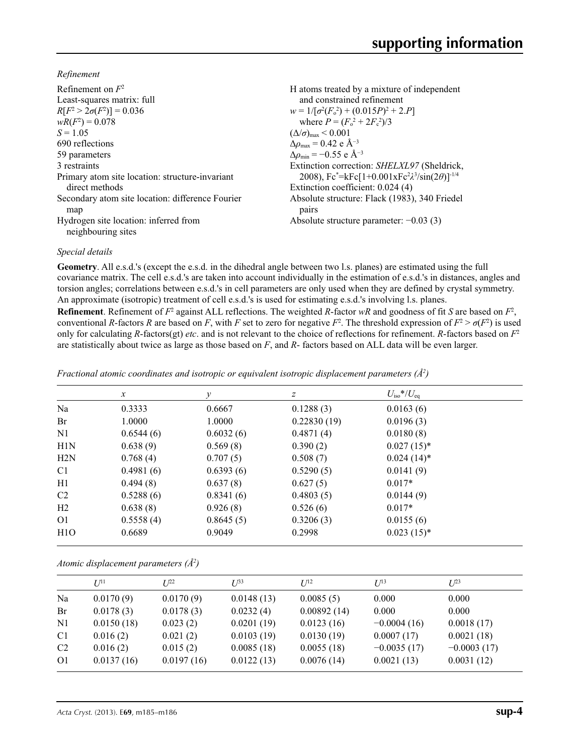*Refinement*

| Refinement on $F^2$<br>Least-squares matrix: full<br>$R[F^2 > 2\sigma(F^2)] = 0.036$<br>$wR(F^2) = 0.078$ | H atoms treated by a mixture of independent<br>and constrained refinement<br>$w = 1/[\sigma^2(F_0^2) + (0.015P)^2 + 2.P]$<br>where $P = (F_o^2 + 2F_s^2)/3$ |
|-----------------------------------------------------------------------------------------------------------|-------------------------------------------------------------------------------------------------------------------------------------------------------------|
| $S = 1.05$                                                                                                | $(\Delta/\sigma)_{\text{max}}$ < 0.001                                                                                                                      |
| 690 reflections                                                                                           | $\Delta\rho_{\text{max}} = 0.42$ e Å <sup>-3</sup>                                                                                                          |
| 59 parameters                                                                                             | $\Delta\rho_{\rm min} = -0.55$ e Å <sup>-3</sup>                                                                                                            |
| 3 restraints                                                                                              | Extinction correction: SHELXL97 (Sheldrick,                                                                                                                 |
| Primary atom site location: structure-invariant                                                           | 2008), $Fc^* = kFc[1+0.001xFc^2\lambda^3/sin(2\theta)]^{-1/4}$                                                                                              |
| direct methods                                                                                            | Extinction coefficient: 0.024 (4)                                                                                                                           |
| Secondary atom site location: difference Fourier<br>map                                                   | Absolute structure: Flack (1983), 340 Friedel<br>pairs                                                                                                      |
| Hydrogen site location: inferred from<br>neighbouring sites                                               | Absolute structure parameter: $-0.03$ (3)                                                                                                                   |

# *Special details*

**Geometry**. All e.s.d.'s (except the e.s.d. in the dihedral angle between two l.s. planes) are estimated using the full covariance matrix. The cell e.s.d.'s are taken into account individually in the estimation of e.s.d.'s in distances, angles and torsion angles; correlations between e.s.d.'s in cell parameters are only used when they are defined by crystal symmetry. An approximate (isotropic) treatment of cell e.s.d.'s is used for estimating e.s.d.'s involving l.s. planes.

**Refinement**. Refinement of  $F^2$  against ALL reflections. The weighted R-factor wR and goodness of fit *S* are based on  $F^2$ , conventional *R*-factors *R* are based on *F*, with *F* set to zero for negative  $F^2$ . The threshold expression of  $F^2 > \sigma(F^2)$  is used only for calculating *R*-factors(gt) *etc*. and is not relevant to the choice of reflections for refinement. *R*-factors based on *F*<sup>2</sup> are statistically about twice as large as those based on *F*, and *R*- factors based on ALL data will be even larger.

| Fractional atomic coordinates and isotropic or equivalent isotropic displacement parameters $(\hat{A}^2)$ |                           |
|-----------------------------------------------------------------------------------------------------------|---------------------------|
|                                                                                                           | $T$ $T$ $A$ , $I$ $T$ $T$ |

|                | $\mathcal{X}$ | $\mathcal{Y}$ | Z           | $U_{\rm iso}*/U_{\rm eq}$ |
|----------------|---------------|---------------|-------------|---------------------------|
| Na             | 0.3333        | 0.6667        | 0.1288(3)   | 0.0163(6)                 |
| Br             | 1.0000        | 1.0000        | 0.22830(19) | 0.0196(3)                 |
| N1             | 0.6544(6)     | 0.6032(6)     | 0.4871(4)   | 0.0180(8)                 |
| H1N            | 0.638(9)      | 0.569(8)      | 0.390(2)    | $0.027(15)^*$             |
| H2N            | 0.768(4)      | 0.707(5)      | 0.508(7)    | $0.024(14)^*$             |
| C <sub>1</sub> | 0.4981(6)     | 0.6393(6)     | 0.5290(5)   | 0.0141(9)                 |
| H1             | 0.494(8)      | 0.637(8)      | 0.627(5)    | $0.017*$                  |
| C <sub>2</sub> | 0.5288(6)     | 0.8341(6)     | 0.4803(5)   | 0.0144(9)                 |
| H2             | 0.638(8)      | 0.926(8)      | 0.526(6)    | $0.017*$                  |
| O <sub>1</sub> | 0.5558(4)     | 0.8645(5)     | 0.3206(3)   | 0.0155(6)                 |
| H1O            | 0.6689        | 0.9049        | 0.2998      | $0.023(15)^*$             |

*Atomic displacement parameters (Å2 )*

|                | $U^{11}$   | $I^{22}$   | $U^{33}$   | $U^{12}$    | $U^{13}$      | $I^{23}$      |
|----------------|------------|------------|------------|-------------|---------------|---------------|
| Na             | 0.0170(9)  | 0.0170(9)  | 0.0148(13) | 0.0085(5)   | 0.000         | 0.000         |
| Br             | 0.0178(3)  | 0.0178(3)  | 0.0232(4)  | 0.00892(14) | 0.000         | 0.000         |
| N <sub>1</sub> | 0.0150(18) | 0.023(2)   | 0.0201(19) | 0.0123(16)  | $-0.0004(16)$ | 0.0018(17)    |
| C <sub>1</sub> | 0.016(2)   | 0.021(2)   | 0.0103(19) | 0.0130(19)  | 0.0007(17)    | 0.0021(18)    |
| C <sub>2</sub> | 0.016(2)   | 0.015(2)   | 0.0085(18) | 0.0055(18)  | $-0.0035(17)$ | $-0.0003(17)$ |
| O <sub>1</sub> | 0.0137(16) | 0.0197(16) | 0.0122(13) | 0.0076(14)  | 0.0021(13)    | 0.0031(12)    |
|                |            |            |            |             |               |               |